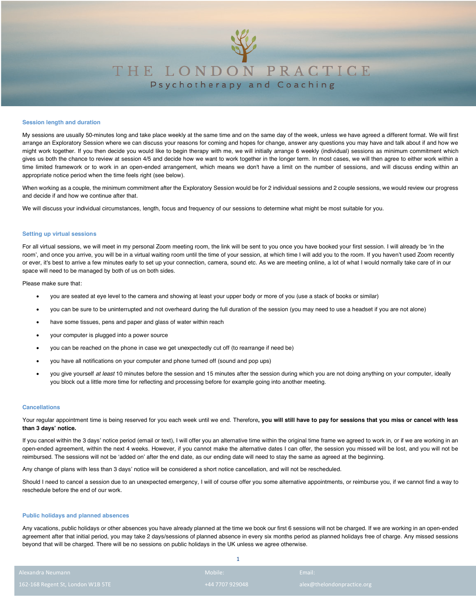

# THE LONDON PRACTICE Psychotherapy and Coaching

## **Session length and duration**

My sessions are usually 50-minutes long and take place weekly at the same time and on the same day of the week, unless we have agreed a different format. We will first arrange an Exploratory Session where we can discuss your reasons for coming and hopes for change, answer any questions you may have and talk about if and how we might work together. If you then decide you would like to begin therapy with me, we will initially arrange 6 weekly (individual) sessions as minimum commitment which gives us both the chance to review at session 4/5 and decide how we want to work together in the longer term. In most cases, we will then agree to either work within a time limited framework or to work in an open-ended arrangement, which means we don't have a limit on the number of sessions, and will discuss ending within an appropriate notice period when the time feels right (see below).

When working as a couple, the minimum commitment after the Exploratory Session would be for 2 individual sessions and 2 couple sessions, we would review our progress and decide if and how we continue after that.

We will discuss your individual circumstances, length, focus and frequency of our sessions to determine what might be most suitable for you.

# **Setting up virtual sessions**

For all virtual sessions, we will meet in my personal Zoom meeting room, the link will be sent to you once you have booked your first session. I will already be 'in the room', and once you arrive, you will be in a virtual waiting room until the time of your session, at which time I will add you to the room. If you haven't used Zoom recently or ever, it's best to arrive a few minutes early to set up your connection, camera, sound etc. As we are meeting online, a lot of what I would normally take care of in our space will need to be managed by both of us on both sides.

Please make sure that:

- you are seated at eye level to the camera and showing at least your upper body or more of you (use a stack of books or similar)
- you can be sure to be uninterrupted and not overheard during the full duration of the session (you may need to use a headset if you are not alone)
- have some tissues, pens and paper and glass of water within reach
- your computer is plugged into a power source
- you can be reached on the phone in case we get unexpectedly cut off (to rearrange if need be)
- you have all notifications on your computer and phone turned off (sound and pop ups)
- you give yourself *at least* 10 minutes before the session and 15 minutes after the session during which you are not doing anything on your computer, ideally you block out a little more time for reflecting and processing before for example going into another meeting.

## **Cancellations**

Your regular appointment time is being reserved for you each week until we end. Therefore**, you will still have to pay for sessions that you miss or cancel with less than 3 days' notice.**

If you cancel within the 3 days' notice period (email or text), I will offer you an alternative time within the original time frame we agreed to work in, or if we are working in an open-ended agreement, within the next 4 weeks. However, if you cannot make the alternative dates I can offer, the session you missed will be lost, and you will not be reimbursed. The sessions will not be 'added on' after the end date, as our ending date will need to stay the same as agreed at the beginning.

Any change of plans with less than 3 days' notice will be considered a short notice cancellation, and will not be rescheduled.

Should I need to cancel a session due to an unexpected emergency, I will of course offer you some alternative appointments, or reimburse you, if we cannot find a way to reschedule before the end of our work.

# **Public holidays and planned absences**

Any vacations, public holidays or other absences you have already planned at the time we book our first 6 sessions will not be charged. If we are working in an open-ended agreement after that initial period, you may take 2 days/sessions of planned absence in every six months period as planned holidays free of charge. Any missed sessions beyond that will be charged. There will be no sessions on public holidays in the UK unless we agree otherwise.

| Alexandra Neumann -               | Mobile:         | Email:                     |
|-----------------------------------|-----------------|----------------------------|
| 162-168 Regent St, London W1B 5TE | +44 7707 929048 | alex@thelondonpractice.org |